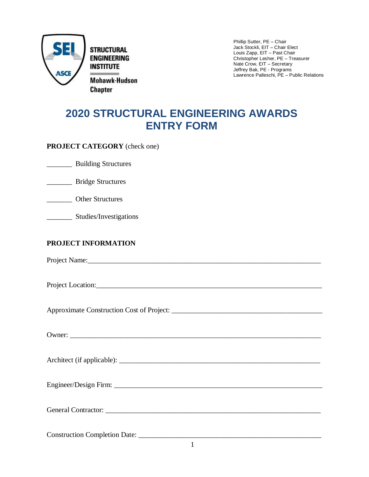

Phillip Sutter, PE – Chair Jack Stockli, EIT – Chair Elect Louis Zapp, EIT – Past Chair Christopher Lesher, PE – Treasurer Nate Crow, EIT – Secretary Jeffrey Bak, PE - Programs Lawrence Palleschi, PE – Public Relations

## **2020 STRUCTURAL ENGINEERING AWARDS ENTRY FORM**

**PROJECT CATEGORY** (check one)

\_\_\_\_\_\_\_ Building Structures

\_\_\_\_\_\_\_ Bridge Structures

\_\_\_\_\_\_\_ Studies/Investigations

## **PROJECT INFORMATION**

Project Name:

Project Location:

Approximate Construction Cost of Project: \_\_\_\_\_\_\_\_\_\_\_\_\_\_\_\_\_\_\_\_\_\_\_\_\_\_\_\_\_\_\_\_\_\_\_\_\_\_\_\_\_\_

Owner:

Architect (if applicable): \_\_\_\_\_\_\_\_\_\_\_\_\_\_\_\_\_\_\_\_\_\_\_\_\_\_\_\_\_\_\_\_\_\_\_\_\_\_\_\_\_\_\_\_\_\_\_\_\_\_\_\_\_\_\_\_

Engineer/Design Firm:

General Contractor: \_\_\_\_\_\_\_\_\_\_\_\_\_\_\_\_\_\_\_\_\_\_\_\_\_\_\_\_\_\_\_\_\_\_\_\_\_\_\_\_\_\_\_\_\_\_\_\_\_\_\_\_\_\_\_\_\_\_\_\_

Construction Completion Date: \_\_\_\_\_\_\_\_\_\_\_\_\_\_\_\_\_\_\_\_\_\_\_\_\_\_\_\_\_\_\_\_\_\_\_\_\_\_\_\_\_\_\_\_\_\_\_\_\_\_\_